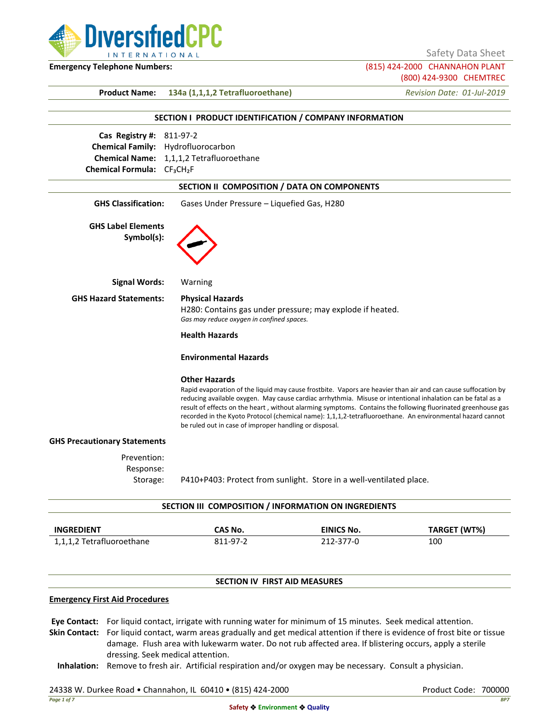

Safety Data Sheet

**Emergency Telephone Numbers:** (815) 424-2000 CHANNAHON PLANT

(800) 424-9300 CHEMTREC

**Product Name: 134a (1,1,1,2 Tetrafluoroethane)** *Revision Date: 01-Jul-2019*

|                                                     | SECTION I PRODUCT IDENTIFICATION / COMPANY INFORMATION                         |                                                                     |                                                                                                                                                                                                                                                                                                                                                                                                                                                           |
|-----------------------------------------------------|--------------------------------------------------------------------------------|---------------------------------------------------------------------|-----------------------------------------------------------------------------------------------------------------------------------------------------------------------------------------------------------------------------------------------------------------------------------------------------------------------------------------------------------------------------------------------------------------------------------------------------------|
| Cas Registry #: 811-97-2                            |                                                                                |                                                                     |                                                                                                                                                                                                                                                                                                                                                                                                                                                           |
|                                                     | Chemical Family: Hydrofluorocarbon                                             |                                                                     |                                                                                                                                                                                                                                                                                                                                                                                                                                                           |
|                                                     | Chemical Name: 1,1,1,2 Tetrafluoroethane                                       |                                                                     |                                                                                                                                                                                                                                                                                                                                                                                                                                                           |
| Chemical Formula: CF <sub>3</sub> CH <sub>2</sub> F |                                                                                |                                                                     |                                                                                                                                                                                                                                                                                                                                                                                                                                                           |
|                                                     | SECTION II COMPOSITION / DATA ON COMPONENTS                                    |                                                                     |                                                                                                                                                                                                                                                                                                                                                                                                                                                           |
| <b>GHS Classification:</b>                          | Gases Under Pressure - Liquefied Gas, H280                                     |                                                                     |                                                                                                                                                                                                                                                                                                                                                                                                                                                           |
| <b>GHS Label Elements</b><br>Symbol(s):             |                                                                                |                                                                     |                                                                                                                                                                                                                                                                                                                                                                                                                                                           |
| <b>Signal Words:</b>                                | Warning                                                                        |                                                                     |                                                                                                                                                                                                                                                                                                                                                                                                                                                           |
| <b>GHS Hazard Statements:</b>                       | <b>Physical Hazards</b><br>Gas may reduce oxygen in confined spaces.           | H280: Contains gas under pressure; may explode if heated.           |                                                                                                                                                                                                                                                                                                                                                                                                                                                           |
|                                                     | <b>Health Hazards</b>                                                          |                                                                     |                                                                                                                                                                                                                                                                                                                                                                                                                                                           |
|                                                     | <b>Environmental Hazards</b>                                                   |                                                                     |                                                                                                                                                                                                                                                                                                                                                                                                                                                           |
|                                                     | <b>Other Hazards</b><br>be ruled out in case of improper handling or disposal. |                                                                     | Rapid evaporation of the liquid may cause frostbite. Vapors are heavier than air and can cause suffocation by<br>reducing available oxygen. May cause cardiac arrhythmia. Misuse or intentional inhalation can be fatal as a<br>result of effects on the heart, without alarming symptoms. Contains the following fluorinated greenhouse gas<br>recorded in the Kyoto Protocol (chemical name): 1,1,1,2-tetrafluoroethane. An environmental hazard cannot |
| <b>GHS Precautionary Statements</b>                 |                                                                                |                                                                     |                                                                                                                                                                                                                                                                                                                                                                                                                                                           |
| Prevention:<br>Response:<br>Storage:                |                                                                                | P410+P403: Protect from sunlight. Store in a well-ventilated place. |                                                                                                                                                                                                                                                                                                                                                                                                                                                           |
|                                                     | SECTION III COMPOSITION / INFORMATION ON INGREDIENTS                           |                                                                     |                                                                                                                                                                                                                                                                                                                                                                                                                                                           |
| <b>INGREDIENT</b>                                   | CAS No.                                                                        | <b>EINICS No.</b>                                                   | <b>TARGET (WT%)</b>                                                                                                                                                                                                                                                                                                                                                                                                                                       |
| 1,1,1,2 Tetrafluoroethane                           | 811-97-2                                                                       | 212-377-0                                                           | 100                                                                                                                                                                                                                                                                                                                                                                                                                                                       |
|                                                     | <b>SECTION IV FIRST AID MEASURES</b>                                           |                                                                     |                                                                                                                                                                                                                                                                                                                                                                                                                                                           |
| <b>Emergency First Aid Procedures</b>               |                                                                                |                                                                     |                                                                                                                                                                                                                                                                                                                                                                                                                                                           |

**Eye Contact:** For liquid contact, irrigate with running water for minimum of 15 minutes. Seek medical attention.

**Skin Contact:** For liquid contact, warm areas gradually and get medical attention if there is evidence of frost bite or tissue damage. Flush area with lukewarm water. Do not rub affected area. If blistering occurs, apply a sterile dressing. Seek medical attention.

**Inhalation:** Remove to fresh air. Artificial respiration and/or oxygen may be necessary. Consult a physician.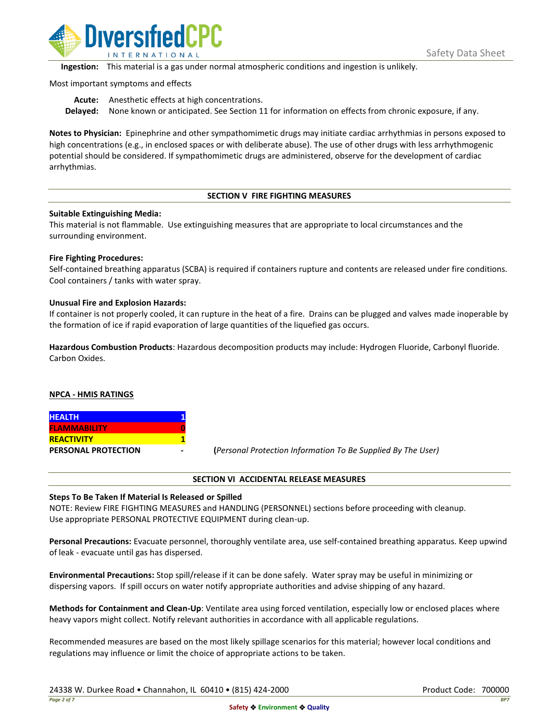

**Ingestion:** This material is a gas under normal atmospheric conditions and ingestion is unlikely.

Most important symptoms and effects

**Acute:** Anesthetic effects at high concentrations. **Delayed:** None known or anticipated. See Section 11 for information on effects from chronic exposure, if any.

**Notes to Physician:** Epinephrine and other sympathomimetic drugs may initiate cardiac arrhythmias in persons exposed to high concentrations (e.g., in enclosed spaces or with deliberate abuse). The use of other drugs with less arrhythmogenic potential should be considered. If sympathomimetic drugs are administered, observe for the development of cardiac arrhythmias.

# **SECTION V FIRE FIGHTING MEASURES**

# **Suitable Extinguishing Media:**

This material is not flammable. Use extinguishing measures that are appropriate to local circumstances and the surrounding environment.

# **Fire Fighting Procedures:**

Self-contained breathing apparatus (SCBA) is required if containers rupture and contents are released under fire conditions. Cool containers / tanks with water spray.

# **Unusual Fire and Explosion Hazards:**

If container is not properly cooled, it can rupture in the heat of a fire. Drains can be plugged and valves made inoperable by the formation of ice if rapid evaporation of large quantities of the liquefied gas occurs.

**Hazardous Combustion Products**: Hazardous decomposition products may include: Hydrogen Fluoride, Carbonyl fluoride. Carbon Oxides.

# **NPCA - HMIS RATINGS**

| <b>HEALTH</b>              |  |
|----------------------------|--|
| <b>FLAMMABILITY</b>        |  |
| <b>REACTIVITY</b>          |  |
| <b>PERSONAL PROTECTION</b> |  |

**PERSONAL PROTECTION - (***Personal Protection Information To Be Supplied By The User)*

### **SECTION VI ACCIDENTAL RELEASE MEASURES**

# **Steps To Be Taken If Material Is Released or Spilled**

NOTE: Review FIRE FIGHTING MEASURES and HANDLING (PERSONNEL) sections before proceeding with cleanup. Use appropriate PERSONAL PROTECTIVE EQUIPMENT during clean-up.

**Personal Precautions:** Evacuate personnel, thoroughly ventilate area, use self-contained breathing apparatus. Keep upwind of leak - evacuate until gas has dispersed.

**Environmental Precautions:** Stop spill/release if it can be done safely. Water spray may be useful in minimizing or dispersing vapors. If spill occurs on water notify appropriate authorities and advise shipping of any hazard.

**Methods for Containment and Clean-Up**: Ventilate area using forced ventilation, especially low or enclosed places where heavy vapors might collect. Notify relevant authorities in accordance with all applicable regulations.

Recommended measures are based on the most likely spillage scenarios for this material; however local conditions and regulations may influence or limit the choice of appropriate actions to be taken.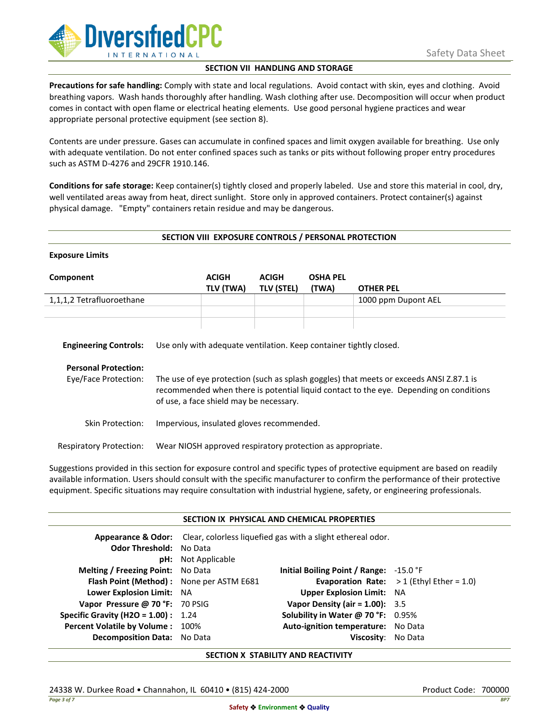

# **SECTION VII HANDLING AND STORAGE**

**Precautions for safe handling:** Comply with state and local regulations. Avoid contact with skin, eyes and clothing. Avoid breathing vapors. Wash hands thoroughly after handling. Wash clothing after use. Decomposition will occur when product comes in contact with open flame or electrical heating elements. Use good personal hygiene practices and wear appropriate personal protective equipment (see section 8).

Contents are under pressure. Gases can accumulate in confined spaces and limit oxygen available for breathing. Use only with adequate ventilation. Do not enter confined spaces such as tanks or pits without following proper entry procedures such as ASTM D-4276 and 29CFR 1910.146.

**Conditions for safe storage:** Keep container(s) tightly closed and properly labeled. Use and store this material in cool, dry, well ventilated areas away from heat, direct sunlight. Store only in approved containers. Protect container(s) against physical damage. "Empty" containers retain residue and may be dangerous.

### **SECTION VIII EXPOSURE CONTROLS / PERSONAL PROTECTION**

| <b>Exposure Limits</b>                                                              |                                                                                                                                                                                                                                                                                                    |                                                            |                                   |                          |                     |
|-------------------------------------------------------------------------------------|----------------------------------------------------------------------------------------------------------------------------------------------------------------------------------------------------------------------------------------------------------------------------------------------------|------------------------------------------------------------|-----------------------------------|--------------------------|---------------------|
| Component                                                                           |                                                                                                                                                                                                                                                                                                    | <b>ACIGH</b><br>TLV (TWA)                                  | <b>ACIGH</b><br><b>TLV (STEL)</b> | <b>OSHA PEL</b><br>(TWA) | <b>OTHER PEL</b>    |
| 1,1,1,2 Tetrafluoroethane                                                           |                                                                                                                                                                                                                                                                                                    |                                                            |                                   |                          | 1000 ppm Dupont AEL |
| <b>Engineering Controls:</b><br><b>Personal Protection:</b><br>Eye/Face Protection: | Use only with adequate ventilation. Keep container tightly closed.<br>The use of eye protection (such as splash goggles) that meets or exceeds ANSI Z.87.1 is<br>recommended when there is potential liquid contact to the eye. Depending on conditions<br>of use, a face shield may be necessary. |                                                            |                                   |                          |                     |
| Skin Protection:                                                                    | Impervious, insulated gloves recommended.                                                                                                                                                                                                                                                          |                                                            |                                   |                          |                     |
| <b>Respiratory Protection:</b>                                                      |                                                                                                                                                                                                                                                                                                    | Wear NIOSH approved respiratory protection as appropriate. |                                   |                          |                     |

Suggestions provided in this section for exposure control and specific types of protective equipment are based on readily available information. Users should consult with the specific manufacturer to confirm the performance of their protective equipment. Specific situations may require consultation with industrial hygiene, safety, or engineering professionals.

|                                            |                                                                                           | SECTION IX PHYSICAL AND CHEMICAL PROPERTIES |                                                   |
|--------------------------------------------|-------------------------------------------------------------------------------------------|---------------------------------------------|---------------------------------------------------|
|                                            | <b>Appearance &amp; Odor:</b> Clear, colorless liquefied gas with a slight ethereal odor. |                                             |                                                   |
| <b>Odor Threshold: No Data</b>             |                                                                                           |                                             |                                                   |
|                                            | <b>pH:</b> Not Applicable                                                                 |                                             |                                                   |
| <b>Melting / Freezing Point:</b> No Data   |                                                                                           | Initial Boiling Point / Range: $-15.0$ °F   |                                                   |
| Flash Point (Method): None per ASTM E681   |                                                                                           |                                             | <b>Evaporation Rate:</b> $>1$ (Ethyl Ether = 1.0) |
| Lower Explosion Limit: NA                  |                                                                                           | <b>Upper Explosion Limit: NA</b>            |                                                   |
| Vapor Pressure @ 70 °F: 70 PSIG            |                                                                                           | Vapor Density (air = $1.00$ ): 3.5          |                                                   |
| <b>Specific Gravity (H2O = 1.00):</b> 1.24 |                                                                                           | Solubility in Water @ 70 °F: 0.95%          |                                                   |
| Percent Volatile by Volume: 100%           |                                                                                           | Auto-ignition temperature: No Data          |                                                   |
| Decomposition Data: No Data                |                                                                                           | Viscosity:                                  | No Data                                           |

### **SECTION X STABILITY AND REACTIVITY**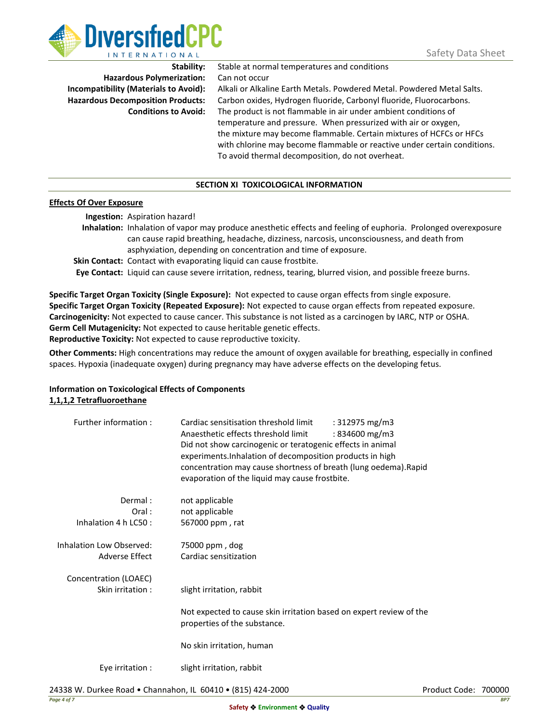

**Hazardous Polymerization:** Can not occur

**Stability:** Stable at normal temperatures and conditions

**Incompatibility (Materials to Avoid):** Alkali or Alkaline Earth Metals. Powdered Metal. Powdered Metal Salts. **Hazardous Decomposition Products:** Carbon oxides, Hydrogen fluoride, Carbonyl fluoride, Fluorocarbons. **Conditions to Avoid:** The product is not flammable in air under ambient conditions of temperature and pressure. When pressurized with air or oxygen, the mixture may become flammable. Certain mixtures of HCFCs or HFCs with chlorine may become flammable or reactive under certain conditions. To avoid thermal decomposition, do not overheat.

# **SECTION XI TOXICOLOGICAL INFORMATION**

### **Effects Of Over Exposure**

**Ingestion:** Aspiration hazard!

**Inhalation:** Inhalation of vapor may produce anesthetic effects and feeling of euphoria. Prolonged overexposure can cause rapid breathing, headache, dizziness, narcosis, unconsciousness, and death from asphyxiation, depending on concentration and time of exposure.

**Skin Contact:** Contact with evaporating liquid can cause frostbite.

**Eye Contact:** Liquid can cause severe irritation, redness, tearing, blurred vision, and possible freeze burns.

**Specific Target Organ Toxicity (Single Exposure):** Not expected to cause organ effects from single exposure. **Specific Target Organ Toxicity (Repeated Exposure):** Not expected to cause organ effects from repeated exposure. **Carcinogenicity:** Not expected to cause cancer. This substance is not listed as a carcinogen by IARC, NTP or OSHA. **Germ Cell Mutagenicity:** Not expected to cause heritable genetic effects. **Reproductive Toxicity:** Not expected to cause reproductive toxicity.

**Other Comments:** High concentrations may reduce the amount of oxygen available for breathing, especially in confined spaces. Hypoxia (inadequate oxygen) during pregnancy may have adverse effects on the developing fetus.

# **Information on Toxicological Effects of Components 1,1,1,2 Tetrafluoroethane**

| Further information:     | Cardiac sensitisation threshold limit<br>: 312975 mg/m3<br>Anaesthetic effects threshold limit<br>$:834600 \text{ mg/m}$<br>Did not show carcinogenic or teratogenic effects in animal<br>experiments. Inhalation of decomposition products in high<br>concentration may cause shortness of breath (lung oedema). Rapid<br>evaporation of the liquid may cause frostbite. |
|--------------------------|---------------------------------------------------------------------------------------------------------------------------------------------------------------------------------------------------------------------------------------------------------------------------------------------------------------------------------------------------------------------------|
| Dermal:                  | not applicable                                                                                                                                                                                                                                                                                                                                                            |
| Oral:                    | not applicable                                                                                                                                                                                                                                                                                                                                                            |
| Inhalation 4 h LC50 :    | 567000 ppm, rat                                                                                                                                                                                                                                                                                                                                                           |
| Inhalation Low Observed: | 75000 ppm, dog                                                                                                                                                                                                                                                                                                                                                            |
| Adverse Effect           | Cardiac sensitization                                                                                                                                                                                                                                                                                                                                                     |
|                          |                                                                                                                                                                                                                                                                                                                                                                           |
| Concentration (LOAEC)    |                                                                                                                                                                                                                                                                                                                                                                           |
| Skin irritation:         | slight irritation, rabbit                                                                                                                                                                                                                                                                                                                                                 |
|                          | Not expected to cause skin irritation based on expert review of the                                                                                                                                                                                                                                                                                                       |
|                          | properties of the substance.                                                                                                                                                                                                                                                                                                                                              |
|                          |                                                                                                                                                                                                                                                                                                                                                                           |
|                          | No skin irritation, human                                                                                                                                                                                                                                                                                                                                                 |
| Eye irritation :         | slight irritation, rabbit                                                                                                                                                                                                                                                                                                                                                 |
|                          |                                                                                                                                                                                                                                                                                                                                                                           |
|                          |                                                                                                                                                                                                                                                                                                                                                                           |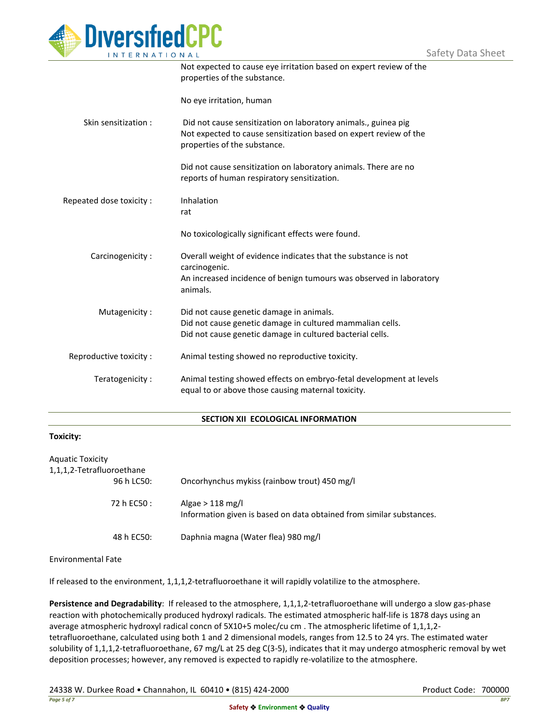

|                         | Not expected to cause eye irritation based on expert review of the<br>properties of the substance.                                                                  |
|-------------------------|---------------------------------------------------------------------------------------------------------------------------------------------------------------------|
|                         | No eye irritation, human                                                                                                                                            |
| Skin sensitization:     | Did not cause sensitization on laboratory animals., guinea pig<br>Not expected to cause sensitization based on expert review of the<br>properties of the substance. |
|                         | Did not cause sensitization on laboratory animals. There are no<br>reports of human respiratory sensitization.                                                      |
| Repeated dose toxicity: | Inhalation<br>rat                                                                                                                                                   |
|                         | No toxicologically significant effects were found.                                                                                                                  |
| Carcinogenicity:        | Overall weight of evidence indicates that the substance is not<br>carcinogenic.                                                                                     |
|                         | An increased incidence of benign tumours was observed in laboratory<br>animals.                                                                                     |
| Mutagenicity:           | Did not cause genetic damage in animals.<br>Did not cause genetic damage in cultured mammalian cells.<br>Did not cause genetic damage in cultured bacterial cells.  |
| Reproductive toxicity : | Animal testing showed no reproductive toxicity.                                                                                                                     |
| Teratogenicity:         | Animal testing showed effects on embryo-fetal development at levels<br>equal to or above those causing maternal toxicity.                                           |

### **SECTION XII ECOLOGICAL INFORMATION**

#### **Toxicity:**

| <b>Aquatic Toxicity</b><br>1,1,1,2-Tetrafluoroethane |                                                                                            |
|------------------------------------------------------|--------------------------------------------------------------------------------------------|
| 96 h LC50:                                           | Oncorhynchus mykiss (rainbow trout) 450 mg/l                                               |
| 72 h EC50 :                                          | Algae $> 118$ mg/l<br>Information given is based on data obtained from similar substances. |
| 48 h EC50:                                           | Daphnia magna (Water flea) 980 mg/l                                                        |

Environmental Fate

If released to the environment, 1,1,1,2-tetrafluoroethane it will rapidly volatilize to the atmosphere.

**Persistence and Degradability**: If released to the atmosphere, 1,1,1,2-tetrafluoroethane will undergo a slow gas-phase reaction with photochemically produced hydroxyl radicals. The estimated atmospheric half-life is 1878 days using an average atmospheric hydroxyl radical concn of 5X10+5 molec/cu cm . The atmospheric lifetime of 1,1,1,2 tetrafluoroethane, calculated using both 1 and 2 dimensional models, ranges from 12.5 to 24 yrs. The estimated water solubility of 1,1,1,2-tetrafluoroethane, 67 mg/L at 25 deg C(3-5), indicates that it may undergo atmospheric removal by wet deposition processes; however, any removed is expected to rapidly re-volatilize to the atmosphere.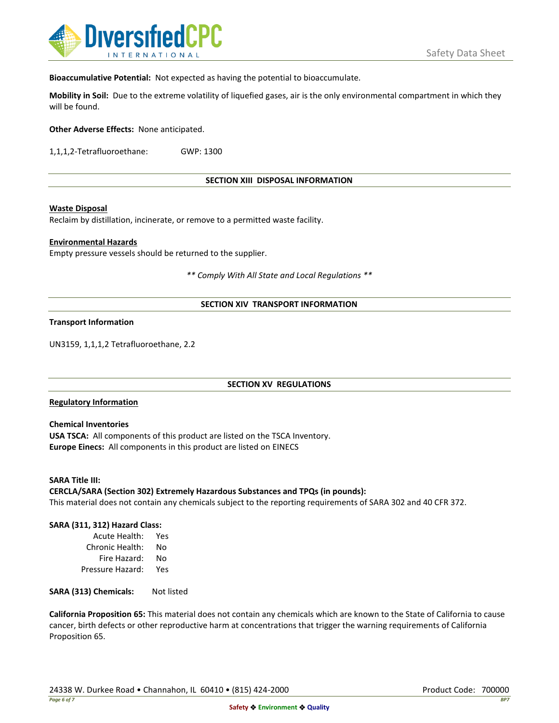

**Bioaccumulative Potential:** Not expected as having the potential to bioaccumulate.

**Mobility in Soil:** Due to the extreme volatility of liquefied gases, air is the only environmental compartment in which they will be found.

**Other Adverse Effects:** None anticipated.

1,1,1,2-Tetrafluoroethane: GWP: 1300

**SECTION XIII DISPOSAL INFORMATION**

### **Waste Disposal**

Reclaim by distillation, incinerate, or remove to a permitted waste facility.

### **Environmental Hazards**

Empty pressure vessels should be returned to the supplier.

*\*\* Comply With All State and Local Regulations \*\**

# **SECTION XIV TRANSPORT INFORMATION**

### **Transport Information**

UN3159, 1,1,1,2 Tetrafluoroethane, 2.2

### **SECTION XV REGULATIONS**

### **Regulatory Information**

**Chemical Inventories USA TSCA:** All components of this product are listed on the TSCA Inventory. **Europe Einecs:** All components in this product are listed on EINECS

**SARA Title III: CERCLA/SARA (Section 302) Extremely Hazardous Substances and TPQs (in pounds):** This material does not contain any chemicals subject to the reporting requirements of SARA 302 and 40 CFR 372.

### **SARA (311, 312) Hazard Class:**

Acute Health: Yes Chronic Health: No Fire Hazard: No Pressure Hazard: Yes

SARA (313) Chemicals: Not listed

**California Proposition 65:** This material does not contain any chemicals which are known to the State of California to cause cancer, birth defects or other reproductive harm at concentrations that trigger the warning requirements of California Proposition 65.